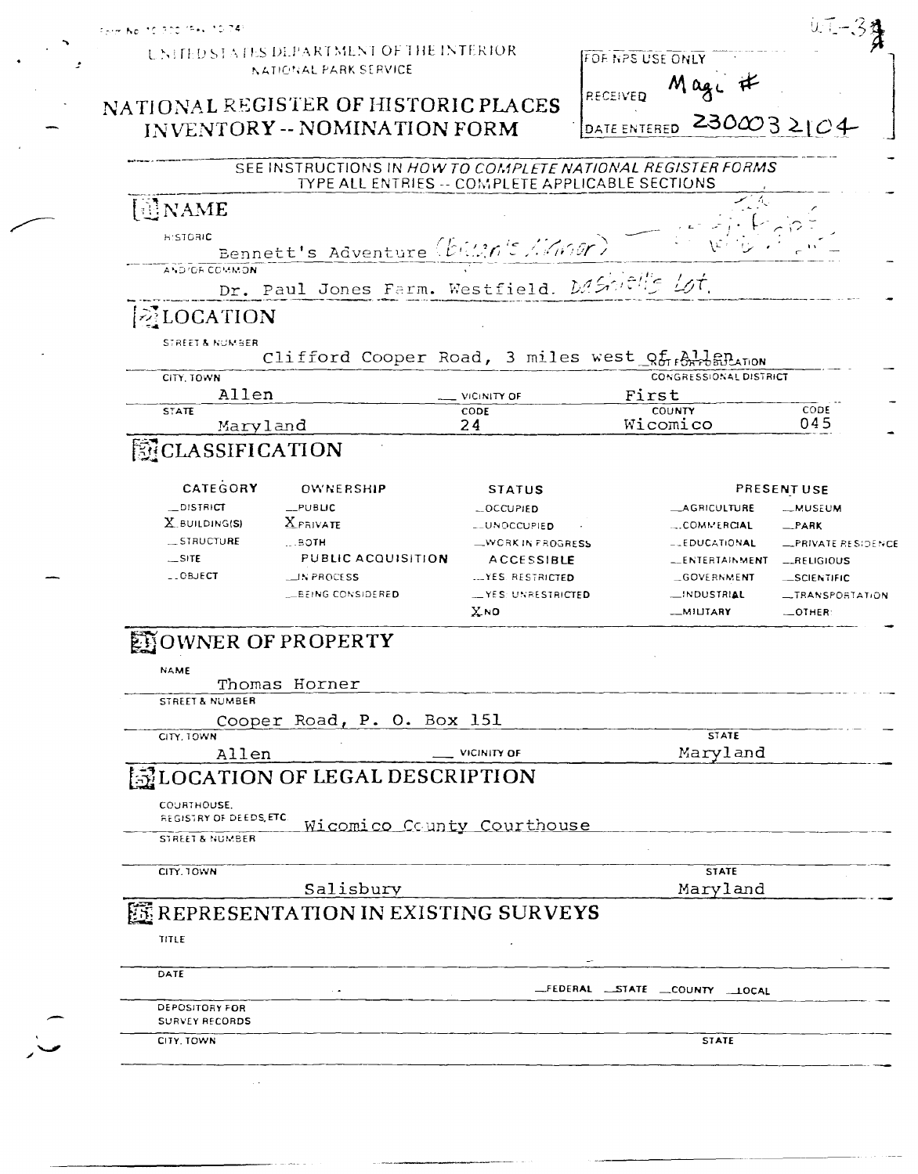|  |  | Tore No. 10, 200 (Fes. 10, 74) |  |  |  |
|--|--|--------------------------------|--|--|--|
|  |  |                                |  |  |  |

UNITED STATES DEPARTMENT OF THE INTERIOR NATIONAL PARK SERVICE

# NATIONAL REGISTER OF HISTORIC PLACES **INVENTORY -- NOMINATION FORM**

| <b>RECEIVED</b> | $M$ agi # |  |
|-----------------|-----------|--|
|                 | 770ann -  |  |

 $UT - 34$ 

DATE ENTERED  $2300032104$ 

FOR NPS USE ONLY

| $\boxplus$ NAME                                |                                                  |                            |                                   |                            |
|------------------------------------------------|--------------------------------------------------|----------------------------|-----------------------------------|----------------------------|
| <b>HISTORIC</b>                                |                                                  |                            |                                   |                            |
|                                                | Bennett's Adventure (biller E AMAGE)             |                            |                                   |                            |
| <b>AND/OR COMMON</b>                           |                                                  |                            |                                   |                            |
|                                                | Dr. Paul Jones Farm. Westfield. Dashiells Lot.   |                            |                                   |                            |
| <b>ELOCATION</b>                               |                                                  |                            |                                   |                            |
| STREET & NUMBER                                |                                                  |                            |                                   |                            |
|                                                | Clifford Cooper Road, 3 miles west Qfr AllsDanow |                            | CONGRESSIONAL DISTRICT            |                            |
| CITY, TOWN<br>Allen                            |                                                  |                            | First                             |                            |
| <b>STATE</b>                                   |                                                  | <b>VICINITY OF</b><br>CODE | COUNTY                            | CODE                       |
| Maryland                                       |                                                  | 24                         | Wicomico                          | 045                        |
| ECLASSIFICATION                                |                                                  |                            |                                   |                            |
| CATEGORY                                       | OWNERSHIP                                        | <b>STATUS</b>              |                                   | <b>PRESENTUSE</b>          |
| $\_$ DISTRICT                                  | $L$ PUBLIC                                       | $\_OCCUPIED$               | <b>__AGRICULTURE</b>              | <b>MUSEUM</b>              |
| $X$ building(S)                                | $X_{\rm PRIVATE}$                                | __UNOCCUPIED               | L.COMMERCIAL                      | $-PARK$                    |
| SIRUCTURE                                      | $$ BOTH                                          | WORK IN FROGRESS           | <b>LLEDUCATIONAL</b>              | <b>LLPRIVATE RESIDENCE</b> |
| $\overline{\phantom{a}}$ SITE                  | PUBLIC ACQUISITION                               | <b>ACCESSIBLE</b>          | __ENTERTAINMENT                   | <b>LRELIGIOUS</b>          |
| L.OBJECT                                       | $\Box$ N PROCESS                                 | <b>LEYES RESTRICTED</b>    | $\equiv$ GOVERNMENT               | <b>SCIENTIFIC</b>          |
|                                                |                                                  |                            |                                   |                            |
|                                                | <b>LEEING CONSIDERED</b>                         | <b>LYES: UNRESTRICTED</b>  | _INDUSTRIAL                       |                            |
|                                                |                                                  | $X$ NO                     | <b>__MILITARY</b>                 | $-$ OTHER:                 |
|                                                | <b>DOWNER OF PROPERTY</b>                        |                            |                                   |                            |
| <b>NAME</b>                                    |                                                  |                            |                                   |                            |
|                                                | Thomas Horner                                    |                            |                                   |                            |
| <b>STREET &amp; NUMBER</b>                     |                                                  |                            |                                   |                            |
| CITY, TOWN                                     | Cooper Road, P. O. Box 151                       |                            | <b>STATE</b>                      |                            |
| Allen                                          |                                                  | <b>VICINITY OF</b>         | Maryland                          |                            |
|                                                | <b>ELOCATION OF LEGAL DESCRIPTION</b>            |                            |                                   |                            |
| COURTHOUSE.                                    |                                                  |                            |                                   |                            |
| REGISTRY OF DEEDS, ETC.                        | Wicomico County Courthouse                       |                            |                                   |                            |
| <b>STREET &amp; NUMBER</b>                     |                                                  |                            |                                   |                            |
| CITY. TOWN                                     |                                                  |                            | <b>STATE</b>                      |                            |
|                                                | Salisbury                                        |                            | Maryland                          |                            |
|                                                |                                                  |                            |                                   |                            |
| TITLE                                          | ES REPRESENTATION IN EXISTING SURVEYS            |                            |                                   |                            |
| DATE                                           |                                                  |                            |                                   |                            |
|                                                |                                                  |                            | _FEDERAL __STATE __COUNTY __LOCAL |                            |
| <b>DEPOSITORY FOR</b><br><b>SURVEY RECORDS</b> |                                                  |                            |                                   | <b>LIBANSPORTATION</b>     |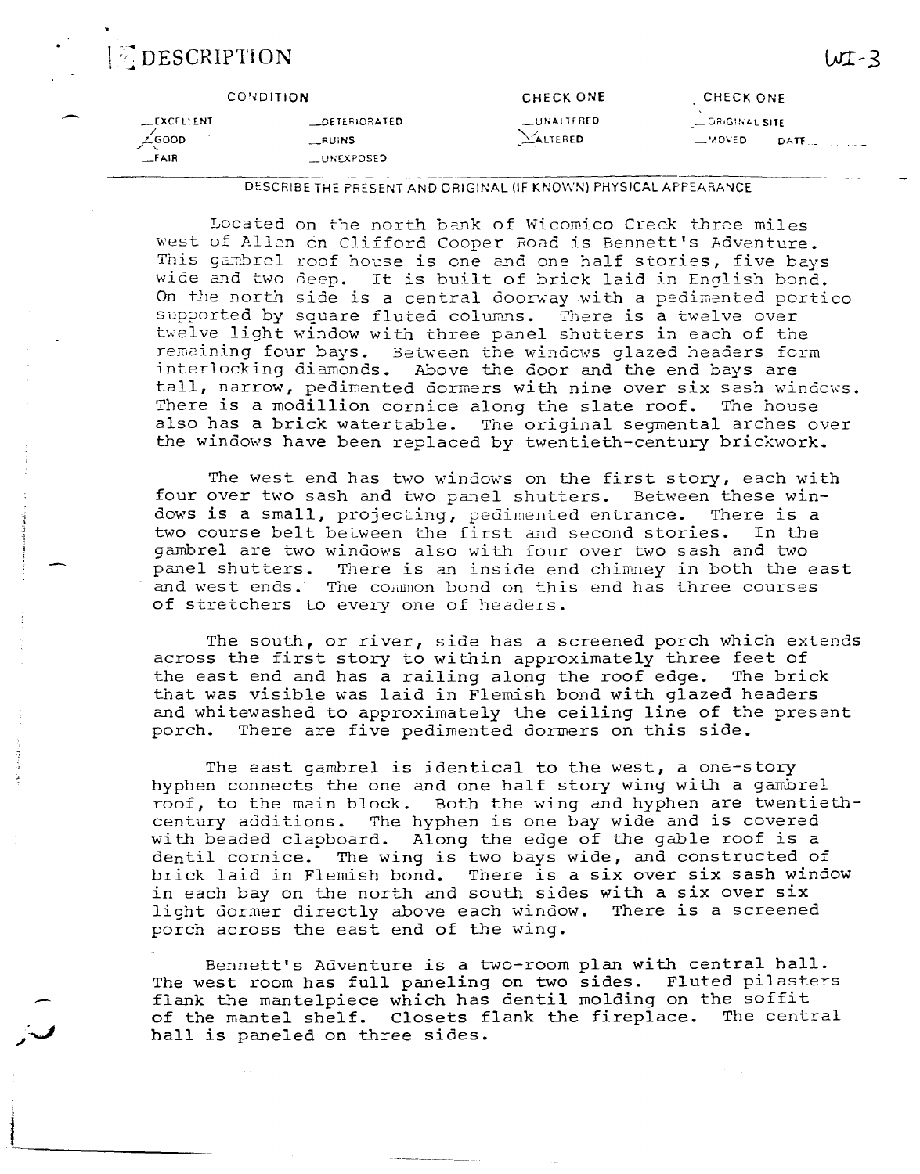# **FIDESCRIPTION**

| <b>CONDITION</b> |                   | CHECK ONE         | <b>CHECK ONE</b>      |                            |
|------------------|-------------------|-------------------|-----------------------|----------------------------|
| $-LXCELLENT$     | LDETERIORATED     | <b>LUNALTERED</b> | <b>LORIGINAL SITE</b> |                            |
| $\angle$ GOOD    | RUINS             | $\sum$ ALTERED    | __MOVED               | $DATE_{max}$ and $E_{max}$ |
| $-FAIR$          | <b>LUNEXPOSED</b> |                   |                       |                            |

DESCRIBE THE PRESENT AND ORIGINAL (IF KNOWN) PHYSICAL APPEARANCE

Located on the north bank of Wicomico Creek three miles west of Allen on Clifford Cooper Road is Bennett's Adventure. This gambrel roof house is one and one half stories, five bays wide and two deep. It is built of brick laid in English bond. On the north side is a central doorway with a pedimented portico. supported by square fluted columns. There is a twelve over twelve light window with three panel shutters in each of the remaining four bays. Between the windows glazed headers form interlocking diamonds. Above the door and the end bays are tall, narrow, pedimented dormers with nine over six sash windows. There is a modillion cornice along the slate roof. The house also has a brick watertable. The original segmental arches over the windows have been replaced by twentieth-century brickwork.

The west end has two windows on the first story, each with four over two sash and two panel shutters. Between these windows is a small, projecting, pedimented entrance. There is a two course belt between the first and second stories. In the gambrel are two windows also with four over two sash and two panel shutters. There is an inside end chimney in both the east and west ends. The common bond on this end has three courses of stretchers to every one of headers.

The south, or river, side has a screened porch which extends across the first story to within approximately three feet of the east end and has a railing along the roof edge. The brick that was visible was laid in Flemish bond with glazed headers and whitewashed to approximately the ceiling line of the present porch. There are five pedimented dormers on this side.

The east gambrel is identical to the west, a one-story hyphen connects the one and one half story wing with a gambrel roof, to the main block. Both the wing and hyphen are twentiethcentury additions. The hyphen is one bay wide and is covered with beaded clapboard. Along the edge of the gable roof is a dentil cornice. The wing is two bays wide, and constructed of brick laid in Flemish bond. There is a six over six sash window in each bay on the north and south sides with a six over six light dormer directly above each window. There is a screened porch across the east end of the wing.

Bennett's Adventure is a two-room plan with central hall.<br>est room has full paneling on two sides. Fluted pilasters The west room has full paneling on two sides. flank the mantelpiece which has dentil molding on the soffit of the mantel shelf. Closets flank the fireplace. The central hall is paneled on three sides.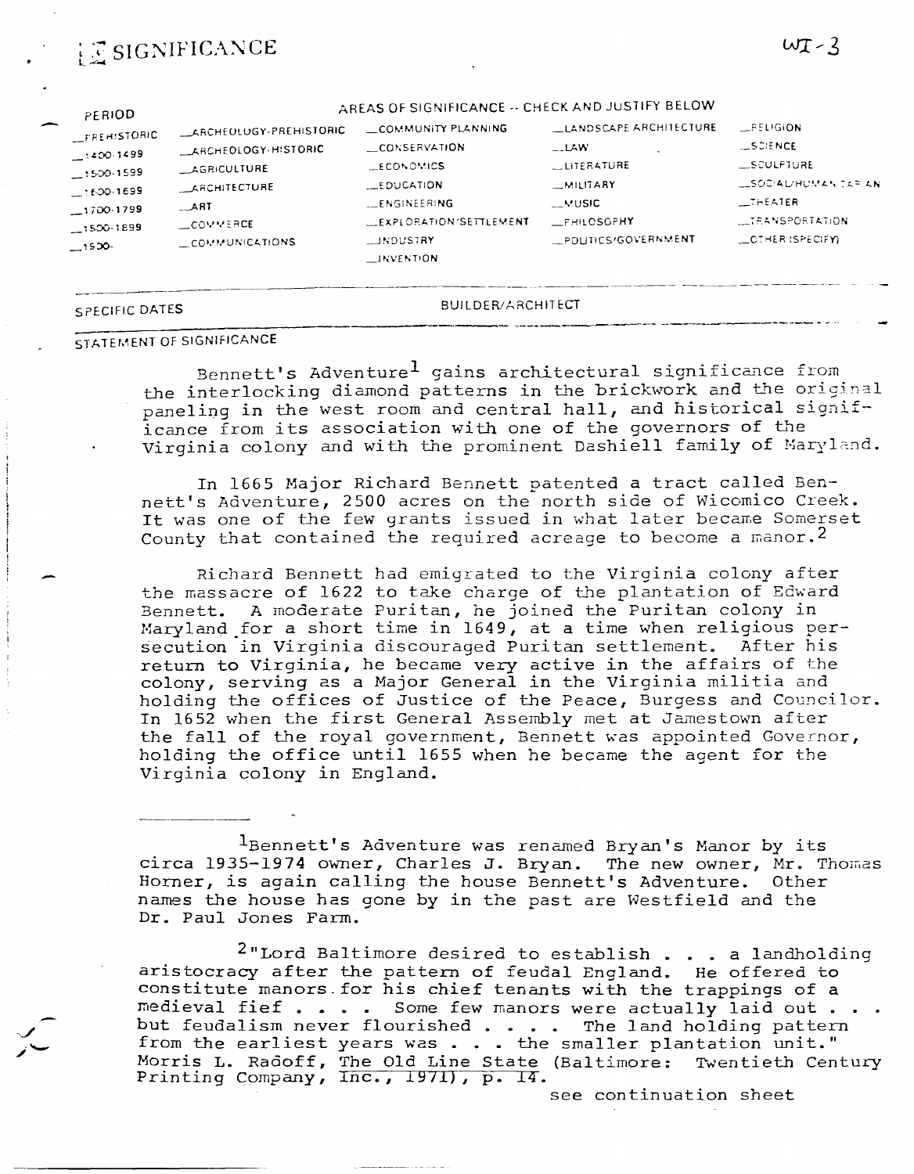# E SIGNIFICANCE

#### AREAS OF SIGNIFICANCE -- CHECK AND JUSTIFY BELOW PERIOD ARCHEOLOGY-PREHISTORIC COMMUNITY PLANNING LANDSCAPE ARCHITECTURE  $FELIGION$  $_F$ REHISTORIC  $-$  SCIENCE \_CONSERVATION \_ARCHEOLOGY-HISTORIC  $-LAW$  $-1400.1499$ LECONOMICS LITERATURE  $\_SCULTURE$ LAGRICULTURE  $-1500-1599$ EDUCATION \_MILITARY LUSOCIAL/HUMANITARIAN ARCHITECTURE  $2631 - 00 - 1$  $I$ THEATER ENGINEERING  $-L$ MUSIC  $ART$  $-1700.1799$ LCOMMERCE **LIBANSPORTATION** LEXPLORATION/SETTLEMENT \_\_\_ FHILOSOPHY  $-1500 - 1899$ POLITICS/GOVERNMENT LINDUSTRY CTHER ISPECIFY \_COMMUNICATIONS  $-1500 -$ **INVENTION**

## **SPECIFIC DATES**

BUILDER/ARCHITECT

# STATEMENT OF SIGNIFICANCE

Bennett's Adventure<sup>1</sup> gains architectural significance from the interlocking diamond patterns in the brickwork and the original paneling in the west room and central hall, and historical significance from its association with one of the governors of the Virginia colony and with the prominent Dashiell family of Maryland.

In 1665 Major Richard Bennett patented a tract called Bennett's Adventure, 2500 acres on the north side of Wicomico Creek. It was one of the few grants issued in what later became Somerset County that contained the required acreage to become a manor.<sup>2</sup>

Richard Bennett had emigrated to the Virginia colony after the massacre of 1622 to take charge of the plantation of Edward Bennett. A moderate Puritan, he joined the Puritan colony in Maryland for a short time in 1649, at a time when religious persecution in Virginia discouraged Puritan settlement. After his return to Virginia, he became very active in the affairs of the colony, serving as a Major General in the Virginia militia and holding the offices of Justice of the Peace, Burgess and Councilor. In 1652 when the first General Assembly met at Jamestown after the fall of the royal government, Bennett was appointed Governor, holding the office until 1655 when he became the agent for the Virginia colony in England.

<sup>1</sup>Bennett's Adventure was renamed Bryan's Manor by its circa 1935-1974 owner, Charles J. Bryan. The new owner, Mr. Thomas Horner, is again calling the house Bennett's Adventure. Other names the house has gone by in the past are Westfield and the Dr. Paul Jones Farm.

 $2$ "Lord Baltimore desired to establish . . . a landholding aristocracy after the pattern of feudal England. He offered to constitute manors for his chief tenants with the trappings of a medieval fief . . . . Some few manors were actually laid out . . . but feudalism never flourished . . . . The land holding pattern from the earliest years was . . . the smaller plantation unit." Morris L. Radoff, The Old Line State (Baltimore: Twentieth Century Printing Company, Inc., 1971), p. 14.

see continuation sheet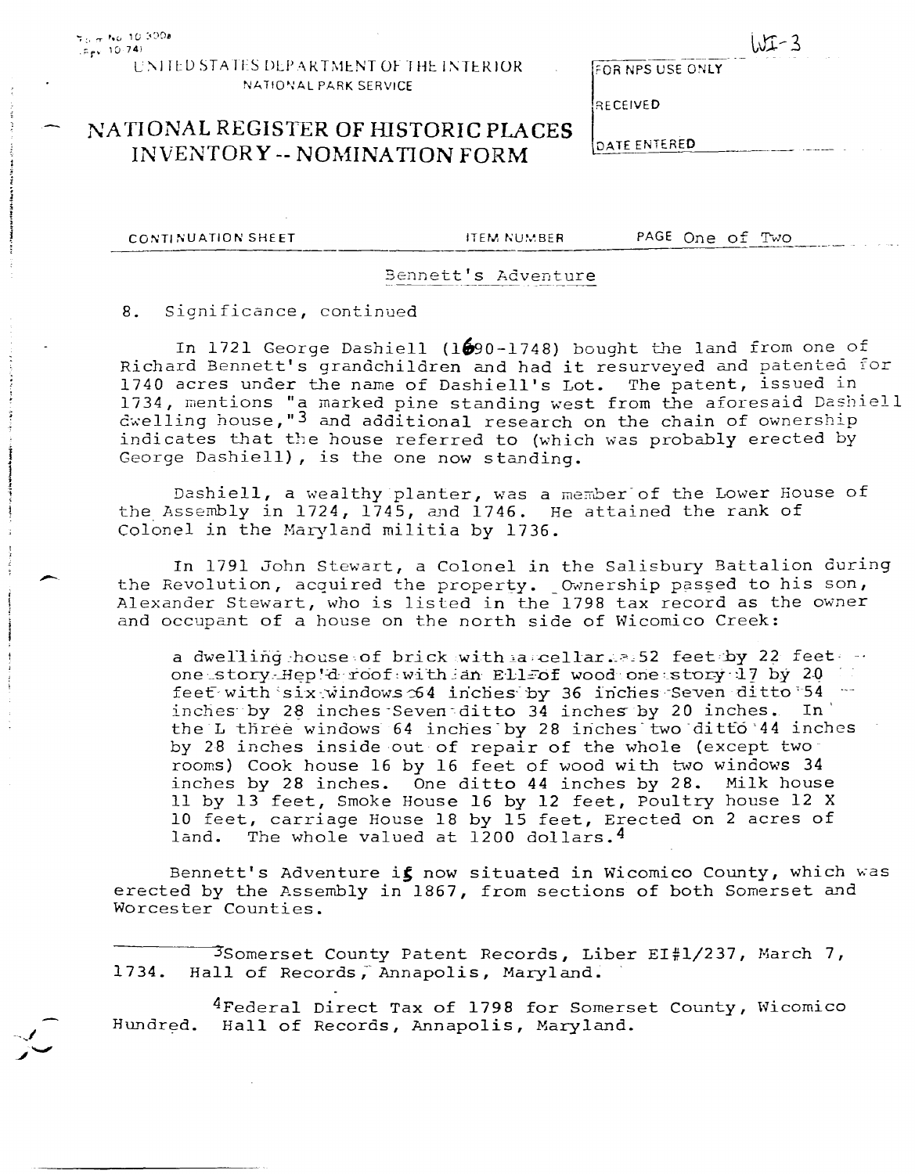**FOR NPS USE ONLY** 

### UNITED STATES DEPARTMENT OF THE INTERIOR. NATIONAL PARK SERVICE

'RECEIVED

DATE ENTERED

# NATIONAL REGISTER OF HISTORIC PLACES INVENTORY -- NOMINATION FORM

CONTINUATION SHEET **ITEM NUMBER** 

 $T_{\rm eff} \propto 10^{-3008}$ ~r· 10 74;

PAGE One of Two

## 3ennett's Adventure

#### 8. Significance, continued

In 1721 George Dashiell (1 $690-1748$ ) bought the land from one of Richard Bennett's grandchildren and had it resurveyed and patented for 1740 acres under the name of Dashiell's Lot. The patent, issued in 1734, mentions "a marked pine standing west from the aforesaid Dashiell  $c$ welling house,"<sup>3</sup> and additional research on the chain of ownership indicates that the house referred to (which was probably erected by George Dashiell) , is the one now standing.

Dashiell, a wealthy planter, was a member of the Lower House of the Assembly in 1724, 1745, and 1746. He attained the rank of Colonel in the Maryland militia by 1736.

In 1791 John Stewart, a Colonel in the Salisbury Battalion during the Revolution, acquired the property. \_Ownership passed to his son, Alexander Stewart, who is listed in the 1798 tax record as the owner and occupant of a house on the north side of Wicomico Creek:

a dwelling:house of brick with a cellar.  $\approx$  52 feet:by 22 feet:  $\sim$ one\_story.Hep'd roof:with.an Ell=of wood one story 17 by 20 feet with six windows 64 inches by 36 inches Seven ditto 54 inches by 28 inches Seven ditto  $34$  inches by 20 inches. In the L three windows 64 inches by 28 inches two ditto 44 inches by 2B inches inside out of repair of the whole (except tworooms) Cook house 16 by 16 feet of wood with two windows 34 inches by 28 inches. One ditto 44 inches by 28. Milk house 11 by 13 feet, Smoke House 16 by 12 feet, Poultry house 12 X 10 feet, carriage House 18 by 15 feet, Erected on 2 acres of<br>land. The whole valued at 1200 dollars.<sup>4</sup> The whole valued at  $1200$  dollars.<sup>4</sup>

Bennett's Adventure if now situated in Wicomico County, which was erected by the Assembly in 1867, from sections of both Somerset and Worcester Counties.

Somerset County Patent Records, Liber EI#l/237, March 7, 1734. Hall of Records, Annapolis, Maryland.

4Federal Direct Tax of 1798 for Somerset County, Wicomico Hundred. Hall of Records, Annapolis, Maryland.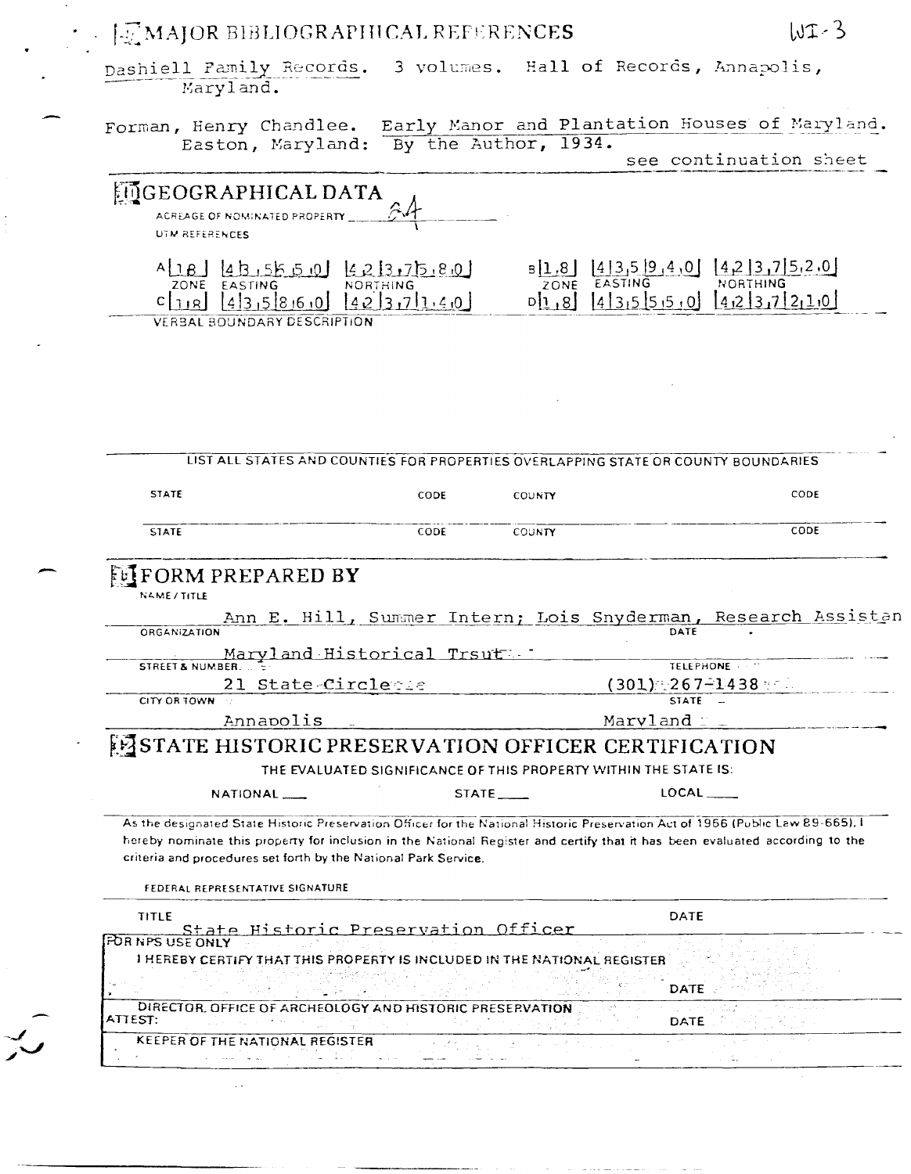# • [QMAJOR BIBLIOGRAPHICAL REFERENCES

 $\frac{1}{2}$ 

Dashiell Pamily Records. 3 volumes. Hall of Records, Annapolis,

| <b>ELIGEOGRAPHICAL DATA</b><br>ACREAGE OF NOMINATED PROPERTY<br>UTM REFERENCES<br>$B[1,8]$ $[4]3,5[9,4,0]$<br>zone Easting<br>$[4,2]3,7]5,2.0$<br>NORTHING<br>A 1B <br>$43.5650$ $423.75.80$<br>NORTHING<br>EASTING<br>ZONE<br>14,23,712,10<br>$0[1,8]$ $4[3,5]5.5.0$<br>$142$ 3,7 1.40<br>143,586,0<br>$C_{118}$<br><b>VERBAL BOUNDARY DESCRIPTION</b><br>LIST ALL STATES AND COUNTIES FOR PROPERTIES OVERLAPPING STATE OR COUNTY BOUNDARIES<br><b>STATE</b><br>CODE<br>CODE<br><b>COUNTY</b><br>CODE<br><b>STATE</b><br>CODE<br>COUNTY<br><b>ELIFORM PREPARED BY</b><br>NAME/TITLE<br>Ann E. Hill, Summer Intern; Lois Snyderman, Research Assistan<br>ORGANIZATION<br>DATE<br>Maryland Historical Trsut<br><b>TELEPHONE</b><br>STREET & NUMBER.<br>21 State-Circlecie<br>$(301) - 267 - 1438$<br>$STATE -$<br>CITY OR TOWN<br>$\sim$ $\sim$<br>Annapolis<br>Maryland =<br><b>EZSTATE HISTORIC PRESERVATION OFFICER CERTIFICATION</b><br>THE EVALUATED SIGNIFICANCE OF THIS PROPERTY WITHIN THE STATE IS:<br>NATIONAL<br>$STATE$ <sub>____</sub><br>As the designated State Historic Preservation Officer for the National Historic Preservation Act of 1966 (Public Law 89-665). I<br>hereby nominate this property for inclusion in the National Register and certify that it has been evaluated according to the<br>criteria and procedures set forth by the National Park Service.<br>FEDERAL REPRESENTATIVE SIGNATURE<br>DATE<br>TITLE<br>State Historic Preservation Officer<br>FOR NPS USE ONLY<br>I HEREBY CERTIFY THAT THIS PROPERTY IS INCLUDED IN THE NATIONAL REGISTER<br>DATE:<br>DIRECTOR, OFFICE OF ARCHEOLOGY AND HISTORIC PRESERVATION<br>ATTEST:<br>DATE<br>ra i<br>KEEPER OF THE NATIONAL REGISTER | Forman, Henry Chandlee. Early Manor and Plantation Houses of Maryland.<br>Easton, Maryland: By the Author, 1934. |  | see continuation sheet |
|-------------------------------------------------------------------------------------------------------------------------------------------------------------------------------------------------------------------------------------------------------------------------------------------------------------------------------------------------------------------------------------------------------------------------------------------------------------------------------------------------------------------------------------------------------------------------------------------------------------------------------------------------------------------------------------------------------------------------------------------------------------------------------------------------------------------------------------------------------------------------------------------------------------------------------------------------------------------------------------------------------------------------------------------------------------------------------------------------------------------------------------------------------------------------------------------------------------------------------------------------------------------------------------------------------------------------------------------------------------------------------------------------------------------------------------------------------------------------------------------------------------------------------------------------------------------------------------------------------------------------------------------------------------------------------------------------------------------------|------------------------------------------------------------------------------------------------------------------|--|------------------------|
|                                                                                                                                                                                                                                                                                                                                                                                                                                                                                                                                                                                                                                                                                                                                                                                                                                                                                                                                                                                                                                                                                                                                                                                                                                                                                                                                                                                                                                                                                                                                                                                                                                                                                                                         |                                                                                                                  |  |                        |
|                                                                                                                                                                                                                                                                                                                                                                                                                                                                                                                                                                                                                                                                                                                                                                                                                                                                                                                                                                                                                                                                                                                                                                                                                                                                                                                                                                                                                                                                                                                                                                                                                                                                                                                         |                                                                                                                  |  |                        |
|                                                                                                                                                                                                                                                                                                                                                                                                                                                                                                                                                                                                                                                                                                                                                                                                                                                                                                                                                                                                                                                                                                                                                                                                                                                                                                                                                                                                                                                                                                                                                                                                                                                                                                                         |                                                                                                                  |  |                        |
|                                                                                                                                                                                                                                                                                                                                                                                                                                                                                                                                                                                                                                                                                                                                                                                                                                                                                                                                                                                                                                                                                                                                                                                                                                                                                                                                                                                                                                                                                                                                                                                                                                                                                                                         |                                                                                                                  |  |                        |
|                                                                                                                                                                                                                                                                                                                                                                                                                                                                                                                                                                                                                                                                                                                                                                                                                                                                                                                                                                                                                                                                                                                                                                                                                                                                                                                                                                                                                                                                                                                                                                                                                                                                                                                         |                                                                                                                  |  |                        |
|                                                                                                                                                                                                                                                                                                                                                                                                                                                                                                                                                                                                                                                                                                                                                                                                                                                                                                                                                                                                                                                                                                                                                                                                                                                                                                                                                                                                                                                                                                                                                                                                                                                                                                                         |                                                                                                                  |  |                        |
|                                                                                                                                                                                                                                                                                                                                                                                                                                                                                                                                                                                                                                                                                                                                                                                                                                                                                                                                                                                                                                                                                                                                                                                                                                                                                                                                                                                                                                                                                                                                                                                                                                                                                                                         |                                                                                                                  |  |                        |
|                                                                                                                                                                                                                                                                                                                                                                                                                                                                                                                                                                                                                                                                                                                                                                                                                                                                                                                                                                                                                                                                                                                                                                                                                                                                                                                                                                                                                                                                                                                                                                                                                                                                                                                         |                                                                                                                  |  |                        |
|                                                                                                                                                                                                                                                                                                                                                                                                                                                                                                                                                                                                                                                                                                                                                                                                                                                                                                                                                                                                                                                                                                                                                                                                                                                                                                                                                                                                                                                                                                                                                                                                                                                                                                                         |                                                                                                                  |  |                        |
|                                                                                                                                                                                                                                                                                                                                                                                                                                                                                                                                                                                                                                                                                                                                                                                                                                                                                                                                                                                                                                                                                                                                                                                                                                                                                                                                                                                                                                                                                                                                                                                                                                                                                                                         |                                                                                                                  |  |                        |
|                                                                                                                                                                                                                                                                                                                                                                                                                                                                                                                                                                                                                                                                                                                                                                                                                                                                                                                                                                                                                                                                                                                                                                                                                                                                                                                                                                                                                                                                                                                                                                                                                                                                                                                         |                                                                                                                  |  |                        |
|                                                                                                                                                                                                                                                                                                                                                                                                                                                                                                                                                                                                                                                                                                                                                                                                                                                                                                                                                                                                                                                                                                                                                                                                                                                                                                                                                                                                                                                                                                                                                                                                                                                                                                                         |                                                                                                                  |  |                        |
|                                                                                                                                                                                                                                                                                                                                                                                                                                                                                                                                                                                                                                                                                                                                                                                                                                                                                                                                                                                                                                                                                                                                                                                                                                                                                                                                                                                                                                                                                                                                                                                                                                                                                                                         |                                                                                                                  |  |                        |
|                                                                                                                                                                                                                                                                                                                                                                                                                                                                                                                                                                                                                                                                                                                                                                                                                                                                                                                                                                                                                                                                                                                                                                                                                                                                                                                                                                                                                                                                                                                                                                                                                                                                                                                         |                                                                                                                  |  |                        |
|                                                                                                                                                                                                                                                                                                                                                                                                                                                                                                                                                                                                                                                                                                                                                                                                                                                                                                                                                                                                                                                                                                                                                                                                                                                                                                                                                                                                                                                                                                                                                                                                                                                                                                                         |                                                                                                                  |  |                        |
|                                                                                                                                                                                                                                                                                                                                                                                                                                                                                                                                                                                                                                                                                                                                                                                                                                                                                                                                                                                                                                                                                                                                                                                                                                                                                                                                                                                                                                                                                                                                                                                                                                                                                                                         |                                                                                                                  |  |                        |
|                                                                                                                                                                                                                                                                                                                                                                                                                                                                                                                                                                                                                                                                                                                                                                                                                                                                                                                                                                                                                                                                                                                                                                                                                                                                                                                                                                                                                                                                                                                                                                                                                                                                                                                         |                                                                                                                  |  |                        |
|                                                                                                                                                                                                                                                                                                                                                                                                                                                                                                                                                                                                                                                                                                                                                                                                                                                                                                                                                                                                                                                                                                                                                                                                                                                                                                                                                                                                                                                                                                                                                                                                                                                                                                                         |                                                                                                                  |  |                        |

 $WT-3$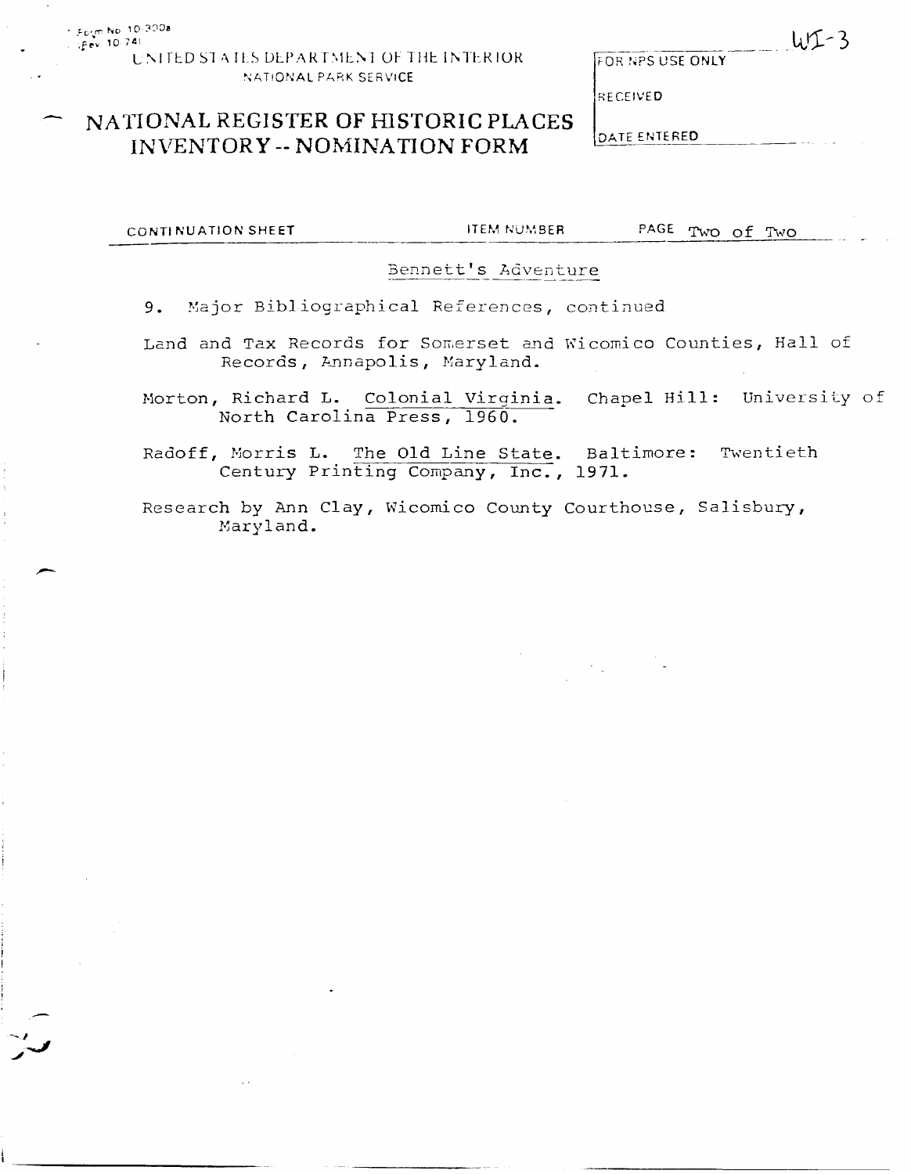1.5 pm No.  $10.300$ a  $F_{\rm ev}$  10.74)

### UNITED STATES DEPARTMENT OF THE INTERIOR NATIONAL PARK SERVICE

**FOR NPS USE ONLY** 

 $117 - 3$ 

RECEIVED

# NATIONAL REGISTER OF HISTORIC PLACES **INVENTORY -- NOMINATION FORM**

DATE ENTERED

| <b>CONTINUATION SHEET</b> | <b>ITEM NUMBER</b> | PAGE Two of Two |  |  |
|---------------------------|--------------------|-----------------|--|--|
|                           |                    |                 |  |  |

#### Bennett's Adventure

 $9.$ Major Bibliographical References, continued

Land and Tax Records for Somerset and Wicomico Counties, Hall of Records, Annapolis, Maryland.

Morton, Richard L. Colonial Virginia. Chapel Hill: University of North Carolina Press, 1960.

Radoff, Morris L. The Old Line State. Baltimore: Twentieth Century Printing Company, Inc., 1971.

Research by Ann Clay, Wicomico County Courthouse, Salisbury, Maryland.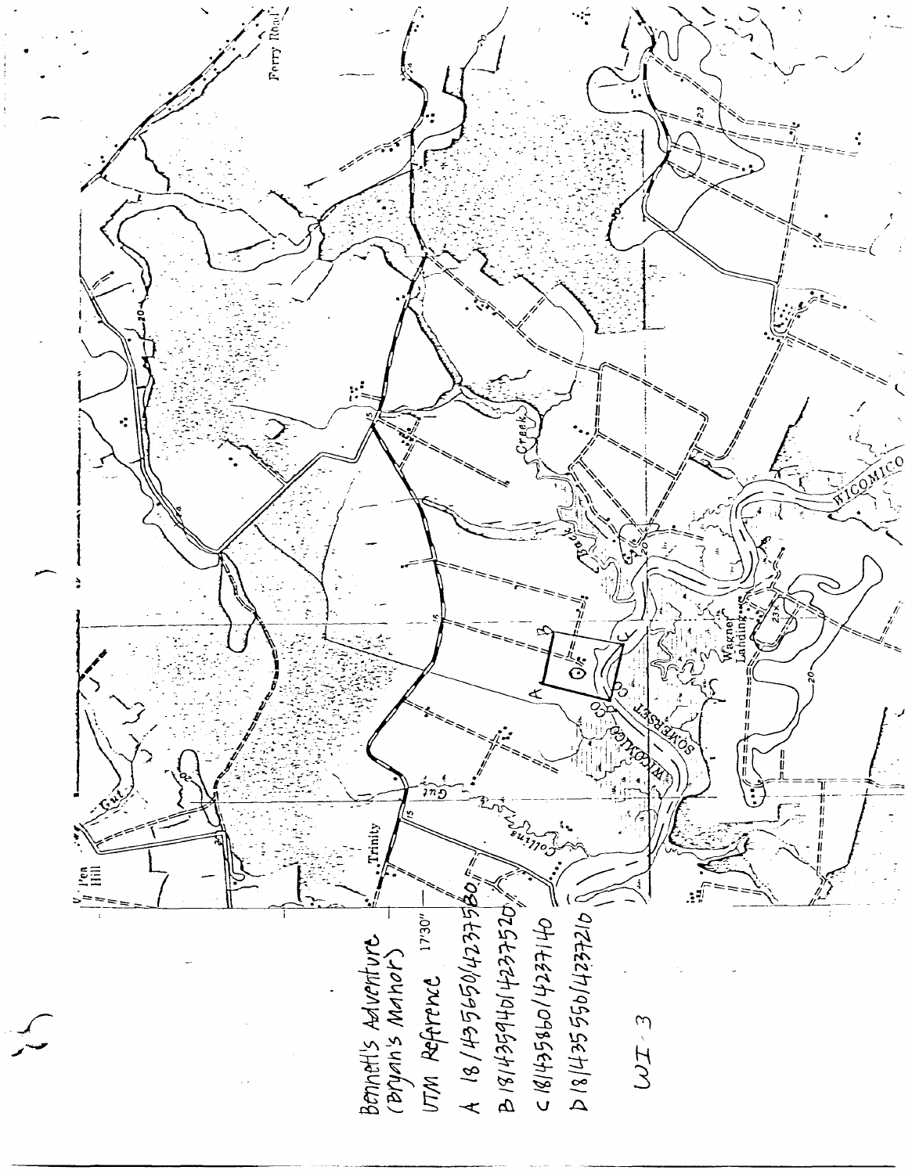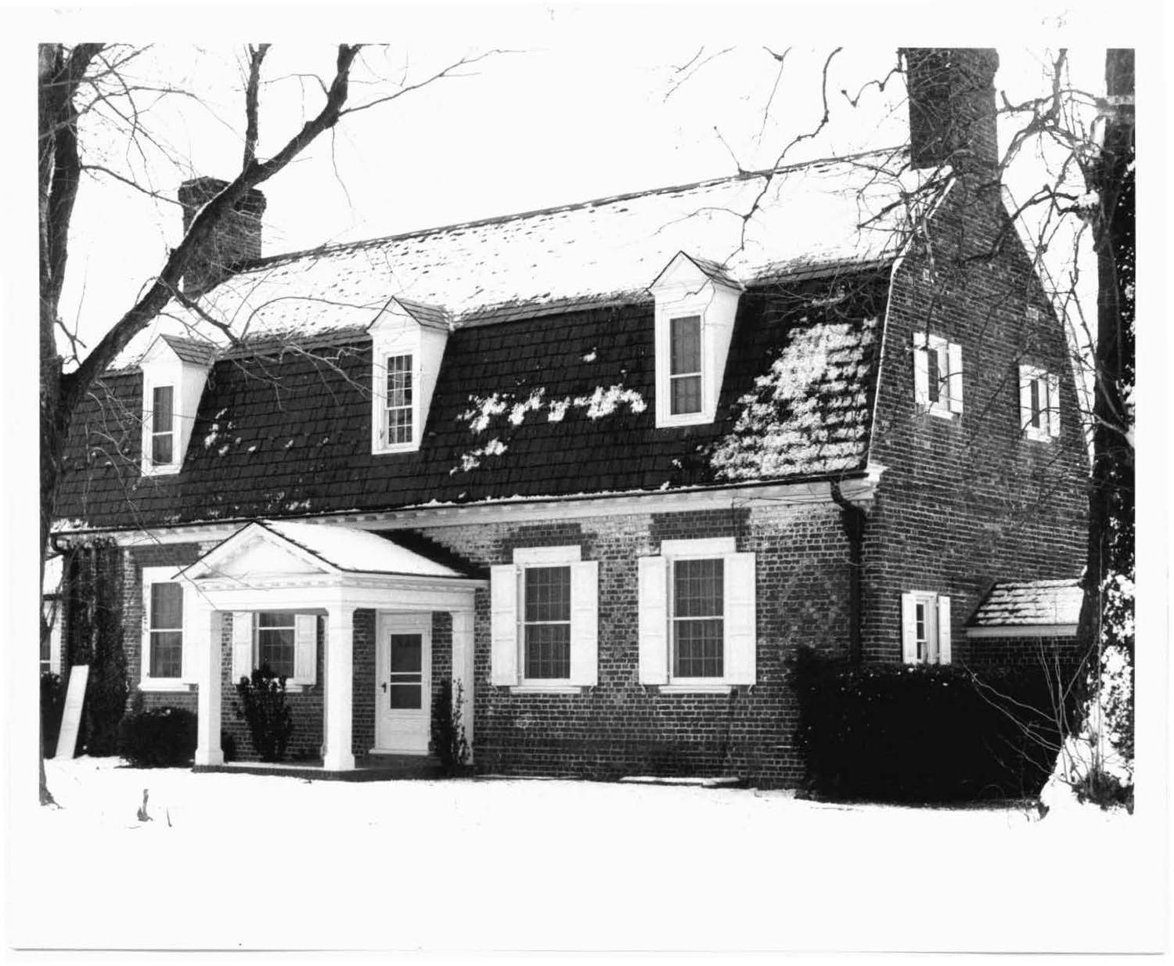